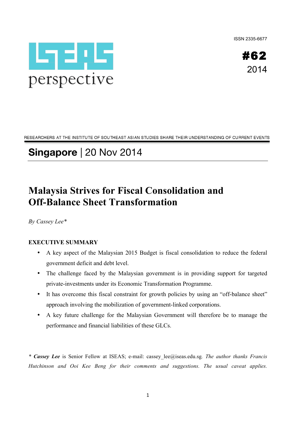ISSN 2335-6677



#62 2014

RESEARCHERS AT THE INSTITUTE OF SOUTHEAST ASIAN STUDIES SHARE THEIR UNDERSTANDING OF CURRENT EVENTS

# **Singapore** | 20 Nov 2014

## **Malaysia Strives for Fiscal Consolidation and Off-Balance Sheet Transformation**

*By Cassey Lee\**

### **EXECUTIVE SUMMARY**

- A key aspect of the Malaysian 2015 Budget is fiscal consolidation to reduce the federal government deficit and debt level.
- The challenge faced by the Malaysian government is in providing support for targeted private-investments under its Economic Transformation Programme.
- It has overcome this fiscal constraint for growth policies by using an "off-balance sheet" approach involving the mobilization of government-linked corporations.
- A key future challenge for the Malaysian Government will therefore be to manage the performance and financial liabilities of these GLCs.

*\* Cassey Lee* is Senior Fellow at ISEAS; e-mail: cassey\_lee@iseas.edu.sg*. The author thanks Francis Hutchinson and Ooi Kee Beng for their comments and suggestions. The usual caveat applies.*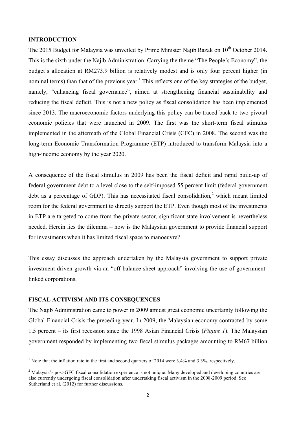#### **INTRODUCTION**

The 2015 Budget for Malaysia was unveiled by Prime Minister Najib Razak on  $10^{th}$  October 2014. This is the sixth under the Najib Administration. Carrying the theme "The People's Economy", the budget's allocation at RM273.9 billion is relatively modest and is only four percent higher (in nominal terms) than that of the previous year.<sup>1</sup> This reflects one of the key strategies of the budget, namely, "enhancing fiscal governance", aimed at strengthening financial sustainability and reducing the fiscal deficit. This is not a new policy as fiscal consolidation has been implemented since 2013. The macroeconomic factors underlying this policy can be traced back to two pivotal economic policies that were launched in 2009. The first was the short-term fiscal stimulus implemented in the aftermath of the Global Financial Crisis (GFC) in 2008. The second was the long-term Economic Transformation Programme (ETP) introduced to transform Malaysia into a high-income economy by the year 2020.

A consequence of the fiscal stimulus in 2009 has been the fiscal deficit and rapid build-up of federal government debt to a level close to the self-imposed 55 percent limit (federal government debt as a percentage of GDP). This has necessitated fiscal consolidation,<sup>2</sup> which meant limited room for the federal government to directly support the ETP. Even though most of the investments in ETP are targeted to come from the private sector, significant state involvement is nevertheless needed. Herein lies the dilemma – how is the Malaysian government to provide financial support for investments when it has limited fiscal space to manoeuvre?

This essay discusses the approach undertaken by the Malaysia government to support private investment-driven growth via an "off-balance sheet approach" involving the use of governmentlinked corporations.

#### **FISCAL ACTIVISM AND ITS CONSEQUENCES**

<u> 1989 - Johann Stein, mars et al. 1989 - Anna ann an t-Anna ann an t-Anna ann an t-Anna ann an t-Anna ann an t-</u>

The Najib Administration came to power in 2009 amidst great economic uncertainty following the Global Financial Crisis the preceding year. In 2009, the Malaysian economy contracted by some 1.5 percent – its first recession since the 1998 Asian Financial Crisis (*Figure 1*). The Malaysian government responded by implementing two fiscal stimulus packages amounting to RM67 billion

<sup>&</sup>lt;sup>1</sup> Note that the inflation rate in the first and second quarters of 2014 were 3.4% and 3.3%, respectively.

<sup>&</sup>lt;sup>2</sup> Malaysia's post-GFC fiscal consolidation experience is not unique. Many developed and developing countries are also currently undergoing fiscal consolidation after undertaking fiscal activism in the 2008-2009 period. See Sutherland et al. (2012) for further discussions.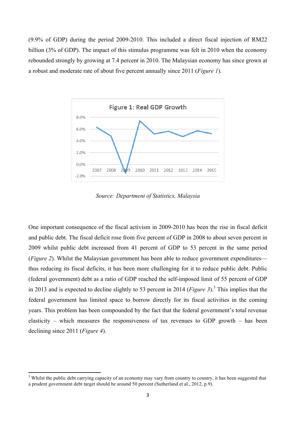(9.9% of GDP) during the period 2009-2010. This included a direct fiscal injection of RM22 billion (3% of GDP). The impact of this stimulus programme was felt in 2010 when the economy rebounded strongly by growing at 7.4 percent in 2010. The Malaysian economy has since grown at a robust and moderate rate of about five percent annually since 2011 (*Figure 1*).



*Source: Department of Statistics, Malaysia*

One important consequence of the fiscal activism in 2009-2010 has been the rise in fiscal deficit and public debt. The fiscal deficit rose from five percent of GDP in 2008 to about seven percent in 2009 whilst public debt increased from 41 percent of GDP to 53 percent in the same period (*Figure 2*). Whilst the Malaysian government has been able to reduce government expenditures thus reducing its fiscal deficits, it has been more challenging for it to reduce public debt. Public (federal government) debt as a ratio of GDP reached the self-imposed limit of 55 percent of GDP in 2013 and is expected to decline slightly to 53 percent in 2014 (*Figure 3*).3 This implies that the federal government has limited space to borrow directly for its fiscal activities in the coming years. This problem has been compounded by the fact that the federal government's total revenue elasticity – which measures the responsiveness of tax revenues to GDP growth – has been declining since 2011 (*Figure 4*).

<u> 1989 - Johann Stein, mars et al. 1989 - Anna ann an t-Anna ann an t-Anna ann an t-Anna ann an t-Anna ann an t-</u>

 $3$  Whilst the public debt carrying capacity of an economy may vary from country to country, it has been suggested that a prudent government debt target should be around 50 percent (Sutherland et al., 2012, p.9).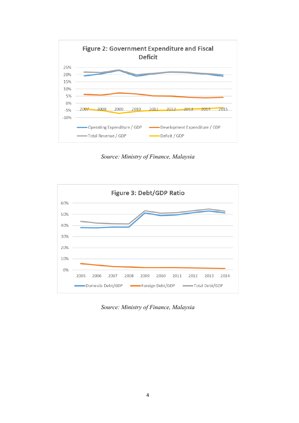

*Source: Ministry of Finance, Malaysia*



*Source: Ministry of Finance, Malaysia*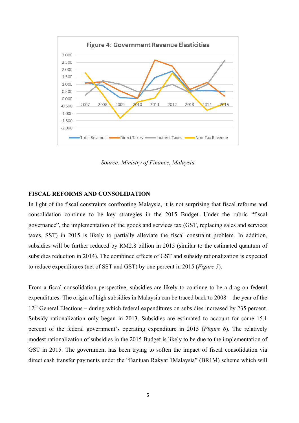

*Source: Ministry of Finance, Malaysia*

#### **FISCAL REFORMS AND CONSOLIDATION**

In light of the fiscal constraints confronting Malaysia, it is not surprising that fiscal reforms and consolidation continue to be key strategies in the 2015 Budget. Under the rubric "fiscal governance", the implementation of the goods and services tax (GST, replacing sales and services taxes, SST) in 2015 is likely to partially alleviate the fiscal constraint problem. In addition, subsidies will be further reduced by RM2.8 billion in 2015 (similar to the estimated quantum of subsidies reduction in 2014). The combined effects of GST and subsidy rationalization is expected to reduce expenditures (net of SST and GST) by one percent in 2015 (*Figure 5*).

From a fiscal consolidation perspective, subsidies are likely to continue to be a drag on federal expenditures. The origin of high subsidies in Malaysia can be traced back to 2008 – the year of the 12<sup>th</sup> General Elections – during which federal expenditures on subsidies increased by 235 percent. Subsidy rationalization only began in 2013. Subsidies are estimated to account for some 15.1 percent of the federal government's operating expenditure in 2015 (*Figure 6*). The relatively modest rationalization of subsidies in the 2015 Budget is likely to be due to the implementation of GST in 2015. The government has been trying to soften the impact of fiscal consolidation via direct cash transfer payments under the "Bantuan Rakyat 1Malaysia" (BR1M) scheme which will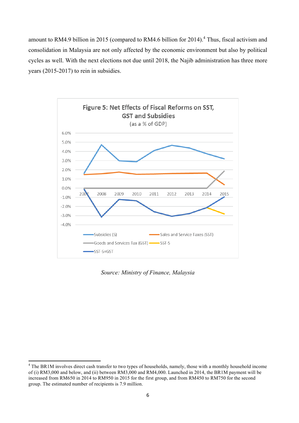amount to RM4.9 billion in 2015 (compared to RM4.6 billion for 2014).<sup>4</sup> Thus, fiscal activism and consolidation in Malaysia are not only affected by the economic environment but also by political cycles as well. With the next elections not due until 2018, the Najib administration has three more years (2015-2017) to rein in subsidies.



*Source: Ministry of Finance, Malaysia*

<sup>&</sup>lt;sup>4</sup> The BR1M involves direct cash transfer to two types of households, namely, those with a monthly household income of (i) RM3,000 and below, and (ii) between RM3,000 and RM4,000. Launched in 2014, the BR1M payment will be increased from RM650 in 2014 to RM950 in 2015 for the first group, and from RM450 to RM750 for the second group. The estimated number of recipients is 7.9 million.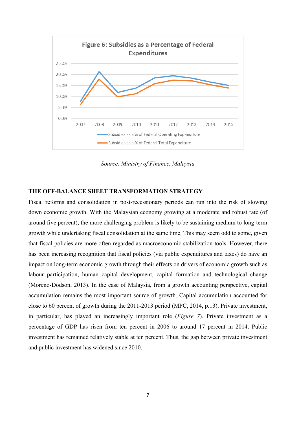

*Source: Ministry of Finance, Malaysia*

#### **THE OFF-BALANCE SHEET TRANSFORMATION STRATEGY**

Fiscal reforms and consolidation in post-recessionary periods can run into the risk of slowing down economic growth. With the Malaysian economy growing at a moderate and robust rate (of around five percent), the more challenging problem is likely to be sustaining medium to long-term growth while undertaking fiscal consolidation at the same time. This may seem odd to some, given that fiscal policies are more often regarded as macroeconomic stabilization tools. However, there has been increasing recognition that fiscal policies (via public expenditures and taxes) do have an impact on long-term economic growth through their effects on drivers of economic growth such as labour participation, human capital development, capital formation and technological change (Moreno-Dodson, 2013). In the case of Malaysia, from a growth accounting perspective, capital accumulation remains the most important source of growth. Capital accumulation accounted for close to 60 percent of growth during the 2011-2013 period (MPC, 2014, p.13). Private investment, in particular, has played an increasingly important role (*Figure 7*). Private investment as a percentage of GDP has risen from ten percent in 2006 to around 17 percent in 2014. Public investment has remained relatively stable at ten percent. Thus, the gap between private investment and public investment has widened since 2010.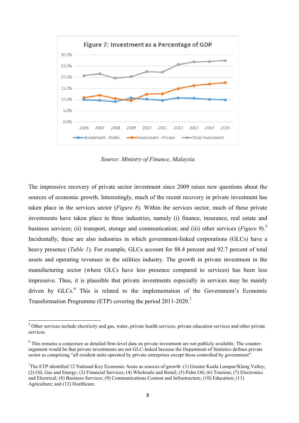

*Source: Ministry of Finance, Malaysia*

The impressive recovery of private sector investment since 2009 raises new questions about the sources of economic growth. Interestingly, much of the recent recovery in private investment has taken place in the services sector (*Figure 8*). Within the services sector, much of these private investments have taken place in three industries, namely (i) finance, insurance, real estate and business services; (ii) transport, storage and communication; and (iii) other services (*Figure 9*).<sup>5</sup> Incidentally, these are also industries in which government-linked corporations (GLCs) have a heavy presence (*Table 1*). For example, GLCs account for 88.4 percent and 92.7 percent of total assets and operating revenues in the utilities industry. The growth in private investment in the manufacturing sector (where GLCs have less presence compared to services) has been less impressive. Thus, it is plausible that private investments especially in services may be mainly driven by  $GLCs<sup>6</sup>$ . This is related to the implementation of the Government's Economic Transformation Programme (ETP) covering the period 2011-2020.<sup>7</sup>

<u> 1989 - Johann Stein, mars et al. 1989 - Anna ann an t-Anna ann an t-Anna ann an t-Anna ann an t-Anna ann an t-</u>

<sup>&</sup>lt;sup>5</sup> Other services include electricity and gas, water, private health services, private education services and other private services.

<sup>&</sup>lt;sup>6</sup> This remains a conjecture as detailed firm-level data on private investment are not publicly available. The counterargument would be that private investments are not GLC-linked because the Department of Statistics defines private sector as comprising "all resident units operated by private enterprises except those controlled by government".

<sup>&</sup>lt;sup>7</sup>The ETP identified 12 National Key Economic Areas as sources of growth: (1) Greater Kuala Lumpur/Klang Valley; (2) Oil, Gas and Energy; (3) Financial Services; (4) Wholesale and Retail; (5) Palm Oil; (6) Tourism; (7) Electronics and Electrical; (8) Business Services; (9) Communications Content and Infrastructure; (10) Education; (11) Agriculture; and (12) Healthcare.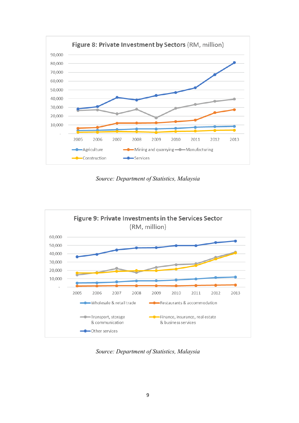

*Source: Department of Statistics, Malaysia*



*Source: Department of Statistics, Malaysia*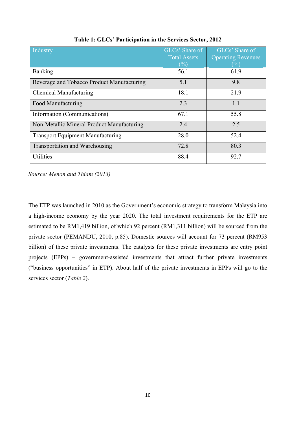| Industry                                   | GLCs' Share of<br><b>Total Assets</b><br>$($ %) | GLCs' Share of<br><b>Operating Revenues</b><br>$(\%)$ |
|--------------------------------------------|-------------------------------------------------|-------------------------------------------------------|
| <b>Banking</b>                             | 56.1                                            | 61.9                                                  |
| Beverage and Tobacco Product Manufacturing | 5.1                                             | 9.8                                                   |
| <b>Chemical Manufacturing</b>              | 18.1                                            | 21.9                                                  |
| Food Manufacturing                         | 2.3                                             | 1.1                                                   |
| Information (Communications)               | 67.1                                            | 55.8                                                  |
| Non-Metallic Mineral Product Manufacturing | 2.4                                             | 2.5                                                   |
| <b>Transport Equipment Manufacturing</b>   | 28.0                                            | 52.4                                                  |
| <b>Transportation and Warehousing</b>      | 72.8                                            | 80.3                                                  |
| <b>Utilities</b>                           | 88.4                                            | 92.7                                                  |

**Table 1: GLCs' Participation in the Services Sector, 2012**

*Source: Menon and Thiam (2013)*

The ETP was launched in 2010 as the Government's economic strategy to transform Malaysia into a high-income economy by the year 2020. The total investment requirements for the ETP are estimated to be RM1,419 billion, of which 92 percent (RM1,311 billion) will be sourced from the private sector (PEMANDU, 2010, p.85). Domestic sources will account for 73 percent (RM953 billion) of these private investments. The catalysts for these private investments are entry point projects (EPPs) – government-assisted investments that attract further private investments ("business opportunities" in ETP). About half of the private investments in EPPs will go to the services sector (*Table 2*).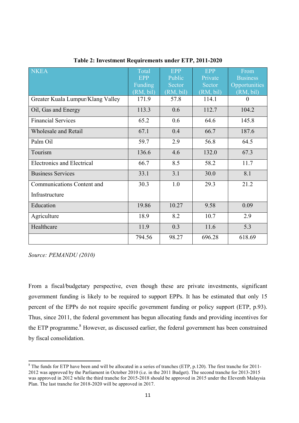| <b>NKEA</b>                       | Total<br><b>EPP</b><br>Funding<br>(RM, bil) | <b>EPP</b><br>Public<br>Sector<br>(RM, bil) | <b>EPP</b><br>Private<br>Sector<br>(RM, bil) | From<br><b>Business</b><br>Opportunities<br>(RM, bil) |
|-----------------------------------|---------------------------------------------|---------------------------------------------|----------------------------------------------|-------------------------------------------------------|
| Greater Kuala Lumpur/Klang Valley | 171.9                                       | 57.8                                        | 114.1                                        | $\theta$                                              |
| Oil, Gas and Energy               | 113.3                                       | 0.6                                         | 112.7                                        | 104.2                                                 |
| <b>Financial Services</b>         | 65.2                                        | 0.6                                         | 64.6                                         | 145.8                                                 |
| <b>Wholesale and Retail</b>       | 67.1                                        | 0.4                                         | 66.7                                         | 187.6                                                 |
| Palm Oil                          | 59.7                                        | 2.9                                         | 56.8                                         | 64.5                                                  |
| Tourism                           | 136.6                                       | 4.6                                         | 132.0                                        | 67.3                                                  |
| <b>Electronics and Electrical</b> | 66.7                                        | 8.5                                         | 58.2                                         | 11.7                                                  |
| <b>Business Services</b>          | 33.1                                        | 3.1                                         | 30.0                                         | 8.1                                                   |
| <b>Communications Content and</b> | 30.3                                        | 1.0                                         | 29.3                                         | 21.2                                                  |
| Infrastructure                    |                                             |                                             |                                              |                                                       |
| Education                         | 19.86                                       | 10.27                                       | 9.58                                         | 0.09                                                  |
| Agriculture                       | 18.9                                        | 8.2                                         | 10.7                                         | 2.9                                                   |
| Healthcare                        | 11.9                                        | 0.3                                         | 11.6                                         | 5.3                                                   |
|                                   | 794.56                                      | 98.27                                       | 696.28                                       | 618.69                                                |

**Table 2: Investment Requirements under ETP, 2011-2020**

*Source: PEMANDU (2010)*

From a fiscal/budgetary perspective, even though these are private investments, significant government funding is likely to be required to support EPPs. It has be estimated that only 15 percent of the EPPs do not require specific government funding or policy support (ETP, p.93). Thus, since 2011, the federal government has begun allocating funds and providing incentives for the ETP programme.<sup>8</sup> However, as discussed earlier, the federal government has been constrained by fiscal consolidation.

 $8$  The funds for ETP have been and will be allocated in a series of tranches (ETP, p.120). The first tranche for 2011-2012 was approved by the Parliament in October 2010 (i.e. in the 2011 Budget). The second tranche for 2013-2015 was approved in 2012 while the third tranche for 2015-2018 should be approved in 2015 under the Eleventh Malaysia Plan. The last tranche for 2018-2020 will be approved in 2017.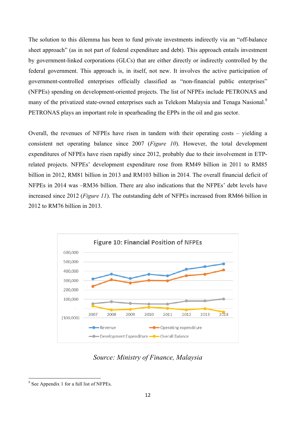The solution to this dilemma has been to fund private investments indirectly via an "off-balance sheet approach" (as in not part of federal expenditure and debt). This approach entails investment by government-linked corporations (GLCs) that are either directly or indirectly controlled by the federal government. This approach is, in itself, not new. It involves the active participation of government-controlled enterprises officially classified as "non-financial public enterprises" (NFPEs) spending on development-oriented projects. The list of NFPEs include PETRONAS and many of the privatized state-owned enterprises such as Telekom Malaysia and Tenaga Nasional.<sup>9</sup> PETRONAS plays an important role in spearheading the EPPs in the oil and gas sector.

Overall, the revenues of NFPEs have risen in tandem with their operating costs – yielding a consistent net operating balance since 2007 (*Figure 10*). However, the total development expenditures of NFPEs have risen rapidly since 2012, probably due to their involvement in ETPrelated projects. NFPEs' development expenditure rose from RM49 billion in 2011 to RM85 billion in 2012, RM81 billion in 2013 and RM103 billion in 2014. The overall financial deficit of NFPEs in 2014 was –RM36 billion. There are also indications that the NFPEs' debt levels have increased since 2012 (*Figure 11*). The outstanding debt of NFPEs increased from RM66 billion in 2012 to RM76 billion in 2013.



## *Source: Ministry of Finance, Malaysia*

<sup>&</sup>lt;sup>9</sup> See Appendix 1 for a full list of NFPEs.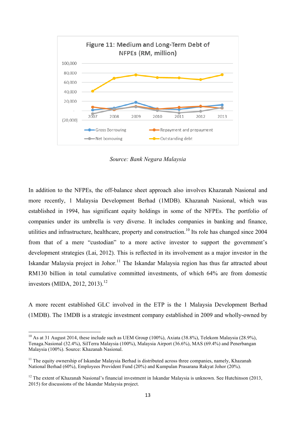

*Source: Bank Negara Malaysia*

In addition to the NFPEs, the off-balance sheet approach also involves Khazanah Nasional and more recently, 1 Malaysia Development Berhad (1MDB). Khazanah Nasional, which was established in 1994, has significant equity holdings in some of the NFPEs. The portfolio of companies under its umbrella is very diverse. It includes companies in banking and finance, utilities and infrastructure, healthcare, property and construction.<sup>10</sup> Its role has changed since 2004 from that of a mere "custodian" to a more active investor to support the government's development strategies (Lai, 2012). This is reflected in its involvement as a major investor in the Iskandar Malaysia project in Johor.<sup>11</sup> The Iskandar Malaysia region has thus far attracted about RM130 billion in total cumulative committed investments, of which 64% are from domestic investors (MIDA, 2012, 2013).<sup>12</sup>

A more recent established GLC involved in the ETP is the 1 Malaysia Development Berhad (1MDB). The 1MDB is a strategic investment company established in 2009 and wholly-owned by

 $10$  As at 31 August 2014, these include such as UEM Group (100%), Axiata (38.8%), Telekom Malaysia (28.9%), Tenaga.Nasional (32.4%), SilTerra Malaysia (100%), Malaysia Airport (36.6%), MAS (69.4%) and Penerbangan Malaysia (100%). Source: Khazanah Nasional.

 $11$  The equity ownership of Iskandar Malaysia Berhad is distributed across three companies, namely, Khazanah National Berhad (60%), Employees Provident Fund (20%) and Kumpulan Prasarana Rakyat Johor (20%).

 $12$  The extent of Khazanah Nasional's financial investment in Iskandar Malaysia is unknown. See Hutchinson (2013, 2015) for discussions of the Iskandar Malaysia project.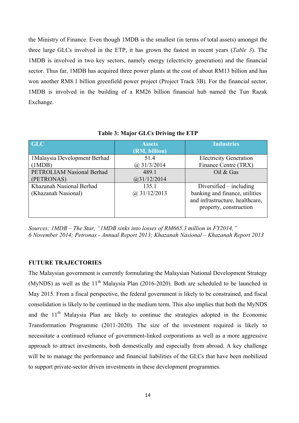the Ministry of Finance. Even though 1MDB is the smallest (in terms of total assets) amongst the three large GLCs involved in the ETP, it has grown the fastest in recent years (*Table 3*). The 1MDB is involved in two key sectors, namely energy (electricity generation) and the financial sector. Thus far, 1MDB has acquired three power plants at the cost of about RM13 billion and has won another RM8.1 billion greenfield power project (Project Track 3B). For the financial sector, 1MDB is involved in the building of a RM26 billion financial hub named the Tun Razak Exchange.

| <b>GLC</b>                    | <b>Assets</b><br>(RM, billion) | <b>Industries</b>               |
|-------------------------------|--------------------------------|---------------------------------|
| 1 Malaysia Development Berhad | 51.4                           | <b>Electricity Generation</b>   |
| (1MDB)                        | $(a)$ 31/3/2014                | Finance Centre (TRX)            |
| PETROLIAM Nasional Berhad     | 489.1                          | Oil & Gas                       |
| (PETRONAS)                    | (a)31/12/2014                  |                                 |
| Khazanah Nasional Berhad      | 135.1                          | Diversified $-$ including       |
| (Khazanah Nasional)           | $(a)$ 31/12/2013               | banking and finance, utilities  |
|                               |                                | and infrastructure, healthcare, |
|                               |                                | property, construction          |
|                               |                                |                                 |

**Table 3: Major GLCs Driving the ETP**

*Sources: 1MDB – The Star, "1MDB sinks into losses of RM665.3 million in FY2014," 6 November 2014; Petronas - Annual Report 2013; Khazanah Nasional – Khazanah Report 2013*

#### **FUTURE TRAJECTORIES**

The Malaysian government is currently formulating the Malaysian National Development Strategy (MyNDS) as well as the  $11<sup>th</sup>$  Malaysia Plan (2016-2020). Both are scheduled to be launched in May 2015. From a fiscal perspective, the federal government is likely to be constrained, and fiscal consolidation is likely to be continued in the medium term. This also implies that both the MyNDS and the  $11<sup>th</sup>$  Malaysia Plan are likely to continue the strategies adopted in the Economic Transformation Programme (2011-2020). The size of the investment required is likely to necessitate a continued reliance of government-linked corporations as well as a more aggressive approach to attract investments, both domestically and especially from abroad. A key challenge will be to manage the performance and financial liabilities of the GLCs that have been mobilized to support private-sector driven investments in these development programmes.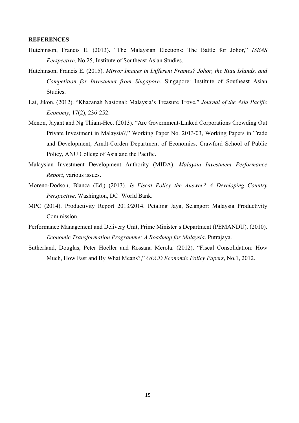#### **REFERENCES**

- Hutchinson, Francis E. (2013). "The Malaysian Elections: The Battle for Johor," *ISEAS Perspective*, No.25, Institute of Southeast Asian Studies.
- Hutchinson, Francis E. (2015). *Mirror Images in Different Frames? Johor, the Riau Islands, and Competition for Investment from Singapore*. Singapore: Institute of Southeast Asian Studies.
- Lai, Jikon. (2012). "Khazanah Nasional: Malaysia's Treasure Trove," *Journal of the Asia Pacific Economy*, 17(2), 236-252.
- Menon, Jayant and Ng Thiam-Hee. (2013). "Are Government-Linked Corporations Crowding Out Private Investment in Malaysia?," Working Paper No. 2013/03, Working Papers in Trade and Development, Arndt-Corden Department of Economics, Crawford School of Public Policy, ANU College of Asia and the Pacific.
- Malaysian Investment Development Authority (MIDA). *Malaysia Investment Performance Report*, various issues.
- Moreno-Dodson, Blanca (Ed.) (2013). *Is Fiscal Policy the Answer? A Developing Country Perspective*. Washington, DC: World Bank.
- MPC (2014). Productivity Report 2013/2014. Petaling Jaya, Selangor: Malaysia Productivity Commission.
- Performance Management and Delivery Unit, Prime Minister's Department (PEMANDU). (2010). *Economic Transformation Programme: A Roadmap for Malaysia*. Putrajaya.
- Sutherland, Douglas, Peter Hoeller and Rossana Merola. (2012). "Fiscal Consolidation: How Much, How Fast and By What Means?," *OECD Economic Policy Papers*, No.1, 2012.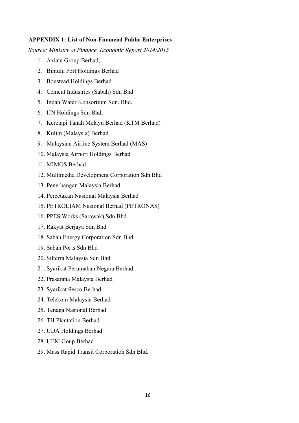#### **APPENDIX 1: List of Non-Financial Public Enterprises**

*Source: Ministry of Finance, Economic Report 2014/2015*

- 1. Axiata Group Berhad,
- 2. Bintulu Port Holdings Berhad
- 3. Boustead Holdings Berhad
- 4. Cement Industries (Sabah) Sdn Bhd
- 5. Indah Water Konsortium Sdn. Bhd.
- 6. IJN Holdings Sdn Bhd,
- 7. Keretapi Tanah Melayu Berhad (KTM Berhad)
- 8. Kulim (Malaysia) Berhad
- 9. Malaysian Airline System Berhad (MAS)
- 10. Malaysia Airport Holdings Berhad
- 11. MIMOS Berhad
- 12. Multimedia Development Corporation Sdn Bhd
- 13. Penerbangan Malaysia Berhad
- 14. Percetakan Nasional Malaysia Berhad
- 15. PETROLIAM Nasional Berhad (PETRONAS)
- 16. PPES Works (Sarawak) Sdn Bhd
- 17. Rakyat Berjaya Sdn Bhd
- 18. Sabah Energy Corporation Sdn Bhd
- 19. Sabah Ports Sdn Bhd
- 20. Silterra Malaysia Sdn Bhd
- 21. Syarikat Perumahan Negara Berhad
- 22. Prasarana Malaysia Berhad
- 23. Syarikat Sesco Berhad
- 24. Telekom Malaysia Berhad
- 25. Tenaga Nasional Berhad
- 26. TH Plantation Berhad
- 27. UDA Holdings Berhad
- 28. UEM Goup Berhad
- 29. Mass Rapid Transit Corporation Sdn Bhd.